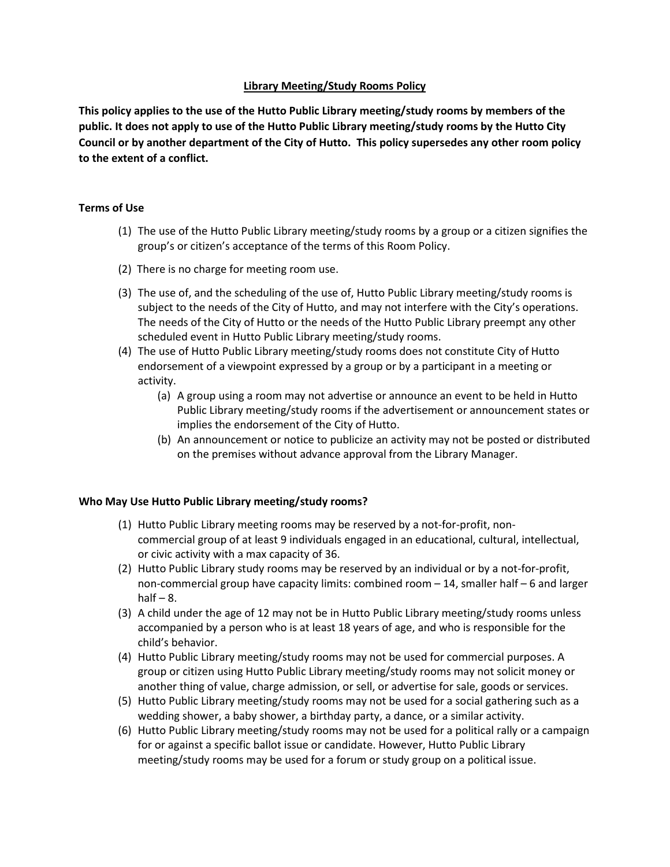# **Library Meeting/Study Rooms Policy**

**This policy applies to the use of the Hutto Public Library meeting/study rooms by members of the public. It does not apply to use of the Hutto Public Library meeting/study rooms by the Hutto City Council or by another department of the City of Hutto. This policy supersedes any other room policy to the extent of a conflict.**

# **Terms of Use**

- (1) The use of the Hutto Public Library meeting/study rooms by a group or a citizen signifies the group's or citizen's acceptance of the terms of this Room Policy.
- (2) There is no charge for meeting room use.
- (3) The use of, and the scheduling of the use of, Hutto Public Library meeting/study rooms is subject to the needs of the City of Hutto, and may not interfere with the City's operations. The needs of the City of Hutto or the needs of the Hutto Public Library preempt any other scheduled event in Hutto Public Library meeting/study rooms.
- (4) The use of Hutto Public Library meeting/study rooms does not constitute City of Hutto endorsement of a viewpoint expressed by a group or by a participant in a meeting or activity.
	- (a) A group using a room may not advertise or announce an event to be held in Hutto Public Library meeting/study rooms if the advertisement or announcement states or implies the endorsement of the City of Hutto.
	- (b) An announcement or notice to publicize an activity may not be posted or distributed on the premises without advance approval from the Library Manager.

## **Who May Use Hutto Public Library meeting/study rooms?**

- (1) Hutto Public Library meeting rooms may be reserved by a not-for-profit, noncommercial group of at least 9 individuals engaged in an educational, cultural, intellectual, or civic activity with a max capacity of 36.
- (2) Hutto Public Library study rooms may be reserved by an individual or by a not-for-profit, non-commercial group have capacity limits: combined room – 14, smaller half – 6 and larger half  $-8$ .
- (3) A child under the age of 12 may not be in Hutto Public Library meeting/study rooms unless accompanied by a person who is at least 18 years of age, and who is responsible for the child's behavior.
- (4) Hutto Public Library meeting/study rooms may not be used for commercial purposes. A group or citizen using Hutto Public Library meeting/study rooms may not solicit money or another thing of value, charge admission, or sell, or advertise for sale, goods or services.
- (5) Hutto Public Library meeting/study rooms may not be used for a social gathering such as a wedding shower, a baby shower, a birthday party, a dance, or a similar activity.
- (6) Hutto Public Library meeting/study rooms may not be used for a political rally or a campaign for or against a specific ballot issue or candidate. However, Hutto Public Library meeting/study rooms may be used for a forum or study group on a political issue.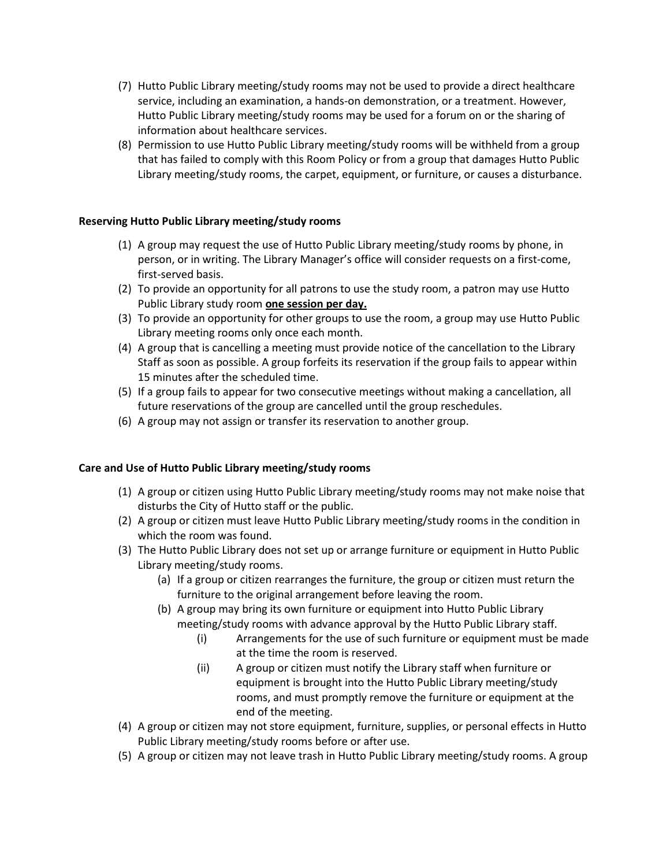- (7) Hutto Public Library meeting/study rooms may not be used to provide a direct healthcare service, including an examination, a hands-on demonstration, or a treatment. However, Hutto Public Library meeting/study rooms may be used for a forum on or the sharing of information about healthcare services.
- (8) Permission to use Hutto Public Library meeting/study rooms will be withheld from a group that has failed to comply with this Room Policy or from a group that damages Hutto Public Library meeting/study rooms, the carpet, equipment, or furniture, or causes a disturbance.

## **Reserving Hutto Public Library meeting/study rooms**

- (1) A group may request the use of Hutto Public Library meeting/study rooms by phone, in person, or in writing. The Library Manager's office will consider requests on a first-come, first-served basis.
- (2) To provide an opportunity for all patrons to use the study room, a patron may use Hutto Public Library study room **one session per day.**
- (3) To provide an opportunity for other groups to use the room, a group may use Hutto Public Library meeting rooms only once each month.
- (4) A group that is cancelling a meeting must provide notice of the cancellation to the Library Staff as soon as possible. A group forfeits its reservation if the group fails to appear within 15 minutes after the scheduled time.
- (5) If a group fails to appear for two consecutive meetings without making a cancellation, all future reservations of the group are cancelled until the group reschedules.
- (6) A group may not assign or transfer its reservation to another group.

## **Care and Use of Hutto Public Library meeting/study rooms**

- (1) A group or citizen using Hutto Public Library meeting/study rooms may not make noise that disturbs the City of Hutto staff or the public.
- (2) A group or citizen must leave Hutto Public Library meeting/study rooms in the condition in which the room was found.
- (3) The Hutto Public Library does not set up or arrange furniture or equipment in Hutto Public Library meeting/study rooms.
	- (a) If a group or citizen rearranges the furniture, the group or citizen must return the furniture to the original arrangement before leaving the room.
	- (b) A group may bring its own furniture or equipment into Hutto Public Library meeting/study rooms with advance approval by the Hutto Public Library staff.
		- (i) Arrangements for the use of such furniture or equipment must be made at the time the room is reserved.
		- (ii) A group or citizen must notify the Library staff when furniture or equipment is brought into the Hutto Public Library meeting/study rooms, and must promptly remove the furniture or equipment at the end of the meeting.
- (4) A group or citizen may not store equipment, furniture, supplies, or personal effects in Hutto Public Library meeting/study rooms before or after use.
- (5) A group or citizen may not leave trash in Hutto Public Library meeting/study rooms. A group